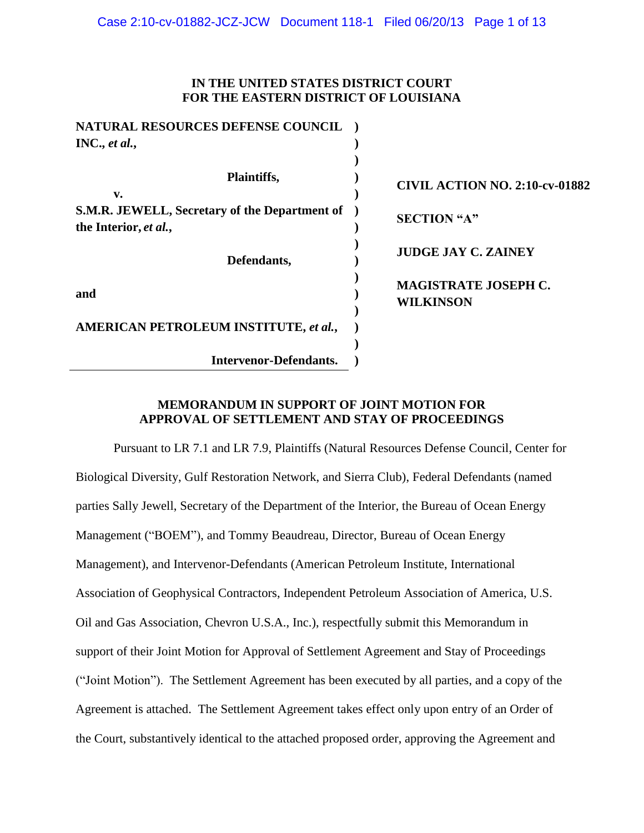# **IN THE UNITED STATES DISTRICT COURT FOR THE EASTERN DISTRICT OF LOUISIANA**

| <b>CIVIL ACTION NO. 2:10-cv-01882</b> |                             |
|---------------------------------------|-----------------------------|
|                                       | <b>SECTION</b> "A"          |
| <b>JUDGE JAY C. ZAINEY</b>            |                             |
|                                       | <b>MAGISTRATE JOSEPH C.</b> |
| <b>WILKINSON</b>                      |                             |
|                                       |                             |
|                                       |                             |

# **MEMORANDUM IN SUPPORT OF JOINT MOTION FOR APPROVAL OF SETTLEMENT AND STAY OF PROCEEDINGS**

Pursuant to LR 7.1 and LR 7.9, Plaintiffs (Natural Resources Defense Council, Center for Biological Diversity, Gulf Restoration Network, and Sierra Club), Federal Defendants (named parties Sally Jewell, Secretary of the Department of the Interior, the Bureau of Ocean Energy Management ("BOEM"), and Tommy Beaudreau, Director, Bureau of Ocean Energy Management), and Intervenor-Defendants (American Petroleum Institute, International Association of Geophysical Contractors, Independent Petroleum Association of America, U.S. Oil and Gas Association, Chevron U.S.A., Inc.), respectfully submit this Memorandum in support of their Joint Motion for Approval of Settlement Agreement and Stay of Proceedings ("Joint Motion"). The Settlement Agreement has been executed by all parties, and a copy of the Agreement is attached. The Settlement Agreement takes effect only upon entry of an Order of the Court, substantively identical to the attached proposed order, approving the Agreement and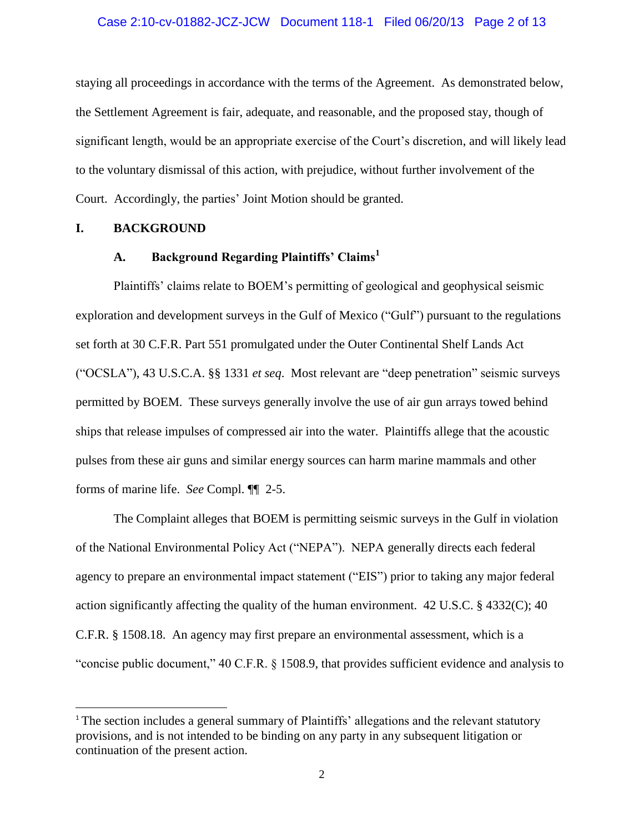#### Case 2:10-cv-01882-JCZ-JCW Document 118-1 Filed 06/20/13 Page 2 of 13

staying all proceedings in accordance with the terms of the Agreement. As demonstrated below, the Settlement Agreement is fair, adequate, and reasonable, and the proposed stay, though of significant length, would be an appropriate exercise of the Court's discretion, and will likely lead to the voluntary dismissal of this action, with prejudice, without further involvement of the Court. Accordingly, the parties' Joint Motion should be granted.

## **I. BACKGROUND**

 $\overline{\phantom{a}}$ 

# **A. Background Regarding Plaintiffs' Claims<sup>1</sup>**

Plaintiffs' claims relate to BOEM's permitting of geological and geophysical seismic exploration and development surveys in the Gulf of Mexico ("Gulf") pursuant to the regulations set forth at 30 C.F.R. Part 551 promulgated under the Outer Continental Shelf Lands Act ("OCSLA"), 43 U.S.C.A. §§ 1331 *et seq*. Most relevant are "deep penetration" seismic surveys permitted by BOEM. These surveys generally involve the use of air gun arrays towed behind ships that release impulses of compressed air into the water. Plaintiffs allege that the acoustic pulses from these air guns and similar energy sources can harm marine mammals and other forms of marine life. *See* Compl. ¶¶ 2-5.

The Complaint alleges that BOEM is permitting seismic surveys in the Gulf in violation of the National Environmental Policy Act ("NEPA"). NEPA generally directs each federal agency to prepare an environmental impact statement ("EIS") prior to taking any major federal action significantly affecting the quality of the human environment. 42 U.S.C. § 4332(C); 40 C.F.R. § 1508.18. An agency may first prepare an environmental assessment, which is a "concise public document," 40 C.F.R. § 1508.9, that provides sufficient evidence and analysis to

<sup>&</sup>lt;sup>1</sup> The section includes a general summary of Plaintiffs' allegations and the relevant statutory provisions, and is not intended to be binding on any party in any subsequent litigation or continuation of the present action.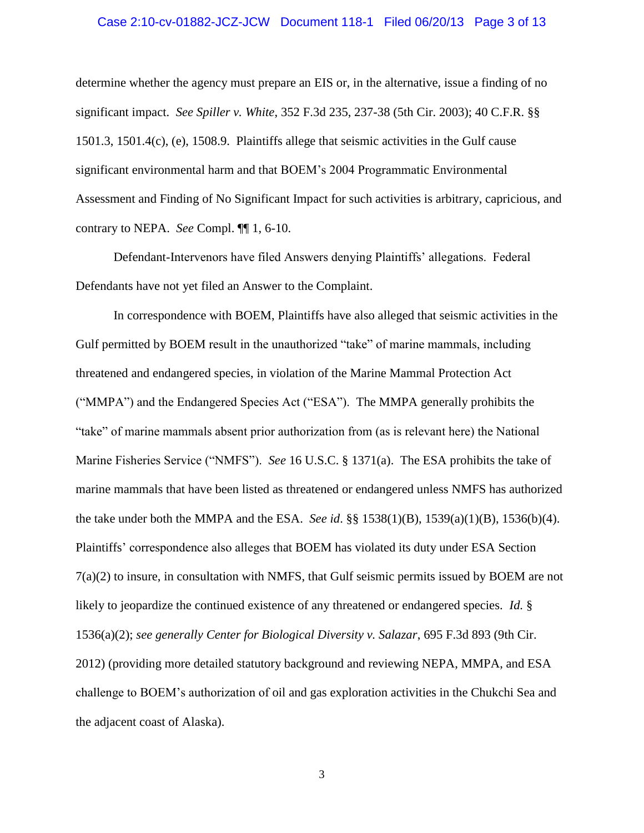#### Case 2:10-cv-01882-JCZ-JCW Document 118-1 Filed 06/20/13 Page 3 of 13

determine whether the agency must prepare an EIS or, in the alternative, issue a finding of no significant impact. *See Spiller v. White*, 352 F.3d 235, 237-38 (5th Cir. 2003); 40 C.F.R. §§ 1501.3, 1501.4(c), (e), 1508.9. Plaintiffs allege that seismic activities in the Gulf cause significant environmental harm and that BOEM's 2004 Programmatic Environmental Assessment and Finding of No Significant Impact for such activities is arbitrary, capricious, and contrary to NEPA. *See* Compl. ¶¶ 1, 6-10.

Defendant-Intervenors have filed Answers denying Plaintiffs' allegations. Federal Defendants have not yet filed an Answer to the Complaint.

In correspondence with BOEM, Plaintiffs have also alleged that seismic activities in the Gulf permitted by BOEM result in the unauthorized "take" of marine mammals, including threatened and endangered species, in violation of the Marine Mammal Protection Act ("MMPA") and the Endangered Species Act ("ESA"). The MMPA generally prohibits the "take" of marine mammals absent prior authorization from (as is relevant here) the National Marine Fisheries Service ("NMFS"). *See* 16 U.S.C. § 1371(a).The ESA prohibits the take of marine mammals that have been listed as threatened or endangered unless NMFS has authorized the take under both the MMPA and the ESA. *See id*. §§ 1538(1)(B), 1539(a)(1)(B), 1536(b)(4). Plaintiffs' correspondence also alleges that BOEM has violated its duty under ESA Section 7(a)(2) to insure, in consultation with NMFS, that Gulf seismic permits issued by BOEM are not likely to jeopardize the continued existence of any threatened or endangered species. *Id.* § 1536(a)(2); *see generally Center for Biological Diversity v. Salazar*, 695 F.3d 893 (9th Cir. 2012) (providing more detailed statutory background and reviewing NEPA, MMPA, and ESA challenge to BOEM's authorization of oil and gas exploration activities in the Chukchi Sea and the adjacent coast of Alaska).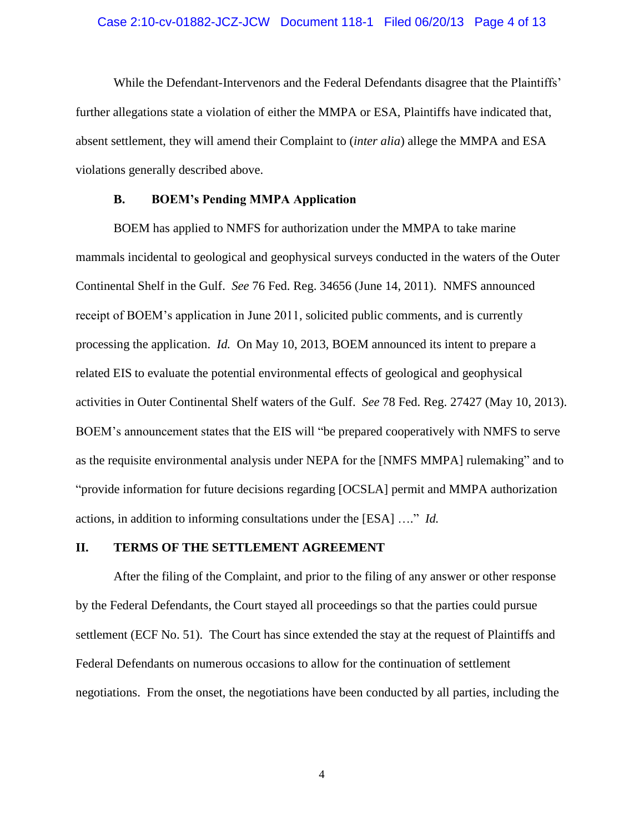#### Case 2:10-cv-01882-JCZ-JCW Document 118-1 Filed 06/20/13 Page 4 of 13

While the Defendant-Intervenors and the Federal Defendants disagree that the Plaintiffs' further allegations state a violation of either the MMPA or ESA, Plaintiffs have indicated that, absent settlement, they will amend their Complaint to (*inter alia*) allege the MMPA and ESA violations generally described above.

## **B. BOEM's Pending MMPA Application**

BOEM has applied to NMFS for authorization under the MMPA to take marine mammals incidental to geological and geophysical surveys conducted in the waters of the Outer Continental Shelf in the Gulf. *See* 76 Fed. Reg. 34656 (June 14, 2011). NMFS announced receipt of BOEM's application in June 2011, solicited public comments, and is currently processing the application. *Id.* On May 10, 2013, BOEM announced its intent to prepare a related EIS to evaluate the potential environmental effects of geological and geophysical activities in Outer Continental Shelf waters of the Gulf. *See* 78 Fed. Reg. 27427 (May 10, 2013). BOEM's announcement states that the EIS will "be prepared cooperatively with NMFS to serve as the requisite environmental analysis under NEPA for the [NMFS MMPA] rulemaking" and to "provide information for future decisions regarding [OCSLA] permit and MMPA authorization actions, in addition to informing consultations under the [ESA] …." *Id.*

#### **II. TERMS OF THE SETTLEMENT AGREEMENT**

After the filing of the Complaint, and prior to the filing of any answer or other response by the Federal Defendants, the Court stayed all proceedings so that the parties could pursue settlement (ECF No. 51). The Court has since extended the stay at the request of Plaintiffs and Federal Defendants on numerous occasions to allow for the continuation of settlement negotiations. From the onset, the negotiations have been conducted by all parties, including the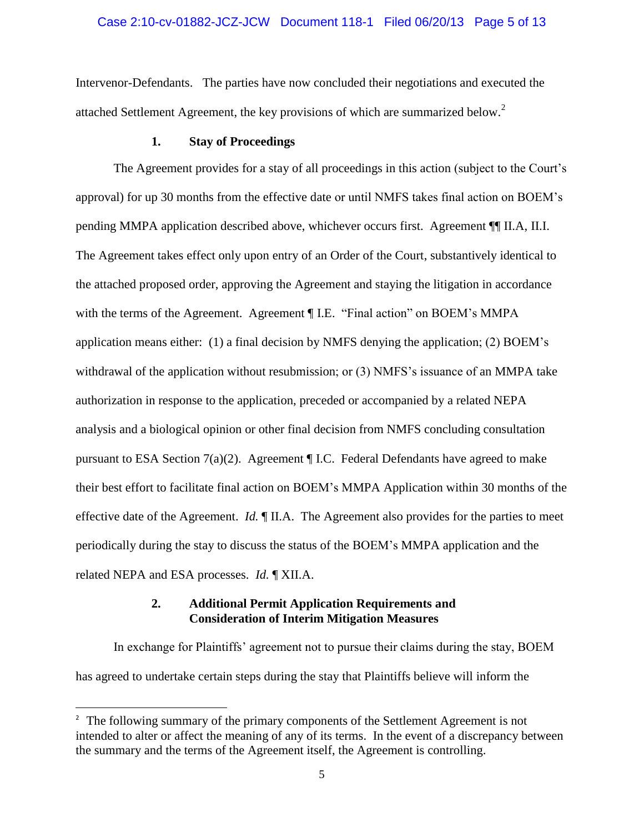## Case 2:10-cv-01882-JCZ-JCW Document 118-1 Filed 06/20/13 Page 5 of 13

Intervenor-Defendants. The parties have now concluded their negotiations and executed the attached Settlement Agreement, the key provisions of which are summarized below.<sup>2</sup>

## **1. Stay of Proceedings**

The Agreement provides for a stay of all proceedings in this action (subject to the Court's approval) for up 30 months from the effective date or until NMFS takes final action on BOEM's pending MMPA application described above, whichever occurs first. Agreement ¶¶ II.A, II.I. The Agreement takes effect only upon entry of an Order of the Court, substantively identical to the attached proposed order, approving the Agreement and staying the litigation in accordance with the terms of the Agreement. Agreement ¶ I.E. "Final action" on BOEM's MMPA application means either: (1) a final decision by NMFS denying the application; (2) BOEM's withdrawal of the application without resubmission; or (3) NMFS's issuance of an MMPA take authorization in response to the application, preceded or accompanied by a related NEPA analysis and a biological opinion or other final decision from NMFS concluding consultation pursuant to ESA Section 7(a)(2). Agreement ¶ I.C. Federal Defendants have agreed to make their best effort to facilitate final action on BOEM's MMPA Application within 30 months of the effective date of the Agreement. *Id.* ¶ II.A. The Agreement also provides for the parties to meet periodically during the stay to discuss the status of the BOEM's MMPA application and the related NEPA and ESA processes. *Id.* ¶ XII.A.

# **2. Additional Permit Application Requirements and Consideration of Interim Mitigation Measures**

 $\overline{\phantom{a}}$ 

In exchange for Plaintiffs' agreement not to pursue their claims during the stay, BOEM has agreed to undertake certain steps during the stay that Plaintiffs believe will inform the

<sup>&</sup>lt;sup>2</sup> The following summary of the primary components of the Settlement Agreement is not intended to alter or affect the meaning of any of its terms. In the event of a discrepancy between the summary and the terms of the Agreement itself, the Agreement is controlling.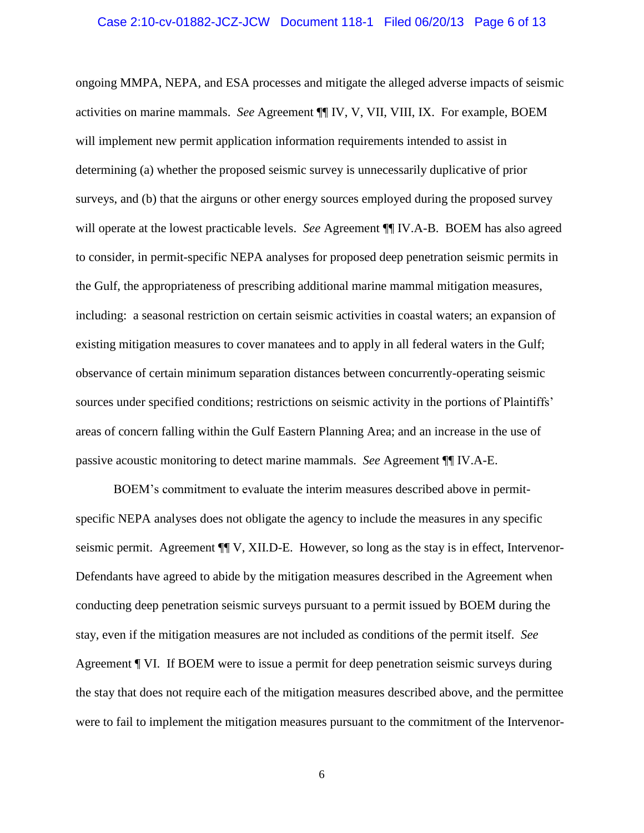#### Case 2:10-cv-01882-JCZ-JCW Document 118-1 Filed 06/20/13 Page 6 of 13

ongoing MMPA, NEPA, and ESA processes and mitigate the alleged adverse impacts of seismic activities on marine mammals. *See* Agreement ¶¶ IV, V, VII, VIII, IX. For example, BOEM will implement new permit application information requirements intended to assist in determining (a) whether the proposed seismic survey is unnecessarily duplicative of prior surveys, and (b) that the airguns or other energy sources employed during the proposed survey will operate at the lowest practicable levels. *See* Agreement ¶¶ IV.A-B. BOEM has also agreed to consider, in permit-specific NEPA analyses for proposed deep penetration seismic permits in the Gulf, the appropriateness of prescribing additional marine mammal mitigation measures, including: a seasonal restriction on certain seismic activities in coastal waters; an expansion of existing mitigation measures to cover manatees and to apply in all federal waters in the Gulf; observance of certain minimum separation distances between concurrently-operating seismic sources under specified conditions; restrictions on seismic activity in the portions of Plaintiffs' areas of concern falling within the Gulf Eastern Planning Area; and an increase in the use of passive acoustic monitoring to detect marine mammals. *See* Agreement ¶¶ IV.A-E.

BOEM's commitment to evaluate the interim measures described above in permitspecific NEPA analyses does not obligate the agency to include the measures in any specific seismic permit. Agreement ¶¶ V, XII.D-E. However, so long as the stay is in effect, Intervenor-Defendants have agreed to abide by the mitigation measures described in the Agreement when conducting deep penetration seismic surveys pursuant to a permit issued by BOEM during the stay, even if the mitigation measures are not included as conditions of the permit itself. *See*  Agreement ¶ VI. If BOEM were to issue a permit for deep penetration seismic surveys during the stay that does not require each of the mitigation measures described above, and the permittee were to fail to implement the mitigation measures pursuant to the commitment of the Intervenor-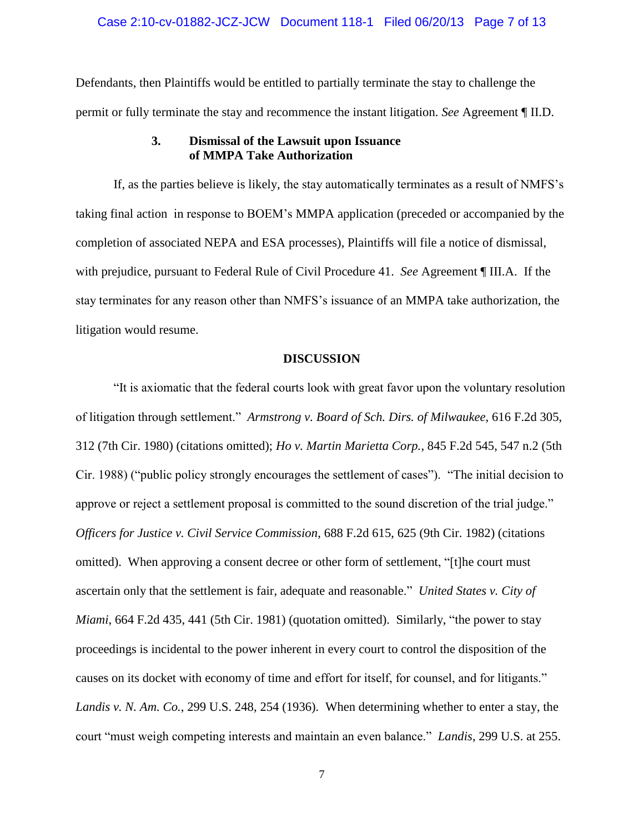#### Case 2:10-cv-01882-JCZ-JCW Document 118-1 Filed 06/20/13 Page 7 of 13

Defendants, then Plaintiffs would be entitled to partially terminate the stay to challenge the permit or fully terminate the stay and recommence the instant litigation. *See* Agreement ¶ II.D.

# **3. Dismissal of the Lawsuit upon Issuance of MMPA Take Authorization**

If, as the parties believe is likely, the stay automatically terminates as a result of NMFS's taking final action in response to BOEM's MMPA application (preceded or accompanied by the completion of associated NEPA and ESA processes), Plaintiffs will file a notice of dismissal, with prejudice, pursuant to Federal Rule of Civil Procedure 41. *See* Agreement ¶ III.A. If the stay terminates for any reason other than NMFS's issuance of an MMPA take authorization, the litigation would resume.

#### **DISCUSSION**

"It is axiomatic that the federal courts look with great favor upon the voluntary resolution of litigation through settlement." *Armstrong v. Board of Sch. Dirs. of Milwaukee*, 616 F.2d 305, 312 (7th Cir. 1980) (citations omitted); *Ho v. Martin Marietta Corp.*, 845 F.2d 545, 547 n.2 (5th Cir. 1988) ("public policy strongly encourages the settlement of cases"). "The initial decision to approve or reject a settlement proposal is committed to the sound discretion of the trial judge." *Officers for Justice v. Civil Service Commission*, 688 F.2d 615, 625 (9th Cir. 1982) (citations omitted). When approving a consent decree or other form of settlement, "[t]he court must ascertain only that the settlement is fair, adequate and reasonable." *United States v. City of Miami*, 664 F.2d 435, 441 (5th Cir. 1981) (quotation omitted). Similarly, "the power to stay proceedings is incidental to the power inherent in every court to control the disposition of the causes on its docket with economy of time and effort for itself, for counsel, and for litigants." *Landis v. N. Am. Co.*, 299 U.S. 248, 254 (1936). When determining whether to enter a stay, the court "must weigh competing interests and maintain an even balance." *Landis*, 299 U.S. at 255.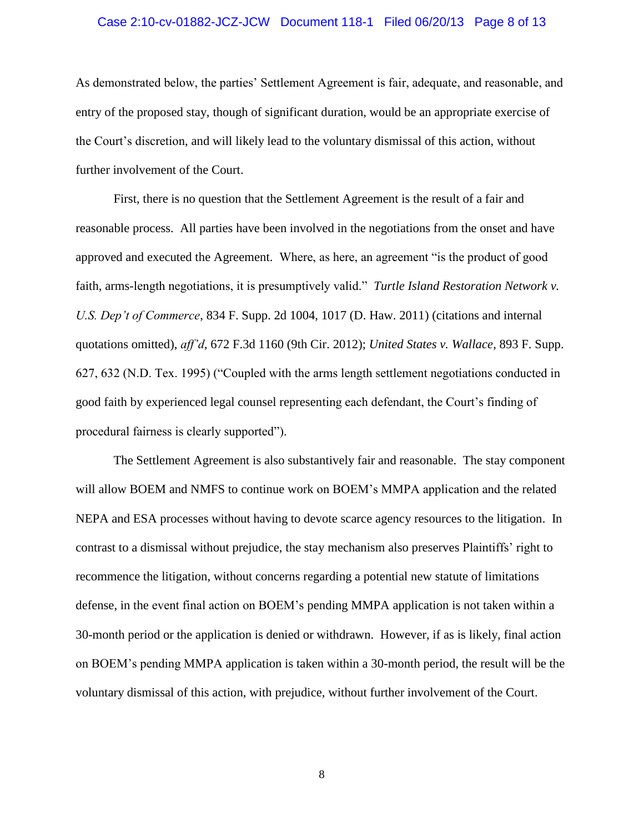#### Case 2:10-cv-01882-JCZ-JCW Document 118-1 Filed 06/20/13 Page 8 of 13

As demonstrated below, the parties' Settlement Agreement is fair, adequate, and reasonable, and entry of the proposed stay, though of significant duration, would be an appropriate exercise of the Court's discretion, and will likely lead to the voluntary dismissal of this action, without further involvement of the Court.

First, there is no question that the Settlement Agreement is the result of a fair and reasonable process. All parties have been involved in the negotiations from the onset and have approved and executed the Agreement. Where, as here, an agreement "is the product of good faith, arms-length negotiations, it is presumptively valid." *Turtle Island Restoration Network v. U.S. Dep't of Commerce*, 834 F. Supp. 2d 1004, 1017 (D. Haw. 2011) (citations and internal quotations omitted), *aff'd*, 672 F.3d 1160 (9th Cir. 2012); *United States v. Wallace*, 893 F. Supp. 627, 632 (N.D. Tex. 1995) ("Coupled with the arms length settlement negotiations conducted in good faith by experienced legal counsel representing each defendant, the Court's finding of procedural fairness is clearly supported").

The Settlement Agreement is also substantively fair and reasonable. The stay component will allow BOEM and NMFS to continue work on BOEM's MMPA application and the related NEPA and ESA processes without having to devote scarce agency resources to the litigation. In contrast to a dismissal without prejudice, the stay mechanism also preserves Plaintiffs' right to recommence the litigation, without concerns regarding a potential new statute of limitations defense, in the event final action on BOEM's pending MMPA application is not taken within a 30-month period or the application is denied or withdrawn. However, if as is likely, final action on BOEM's pending MMPA application is taken within a 30-month period, the result will be the voluntary dismissal of this action, with prejudice, without further involvement of the Court.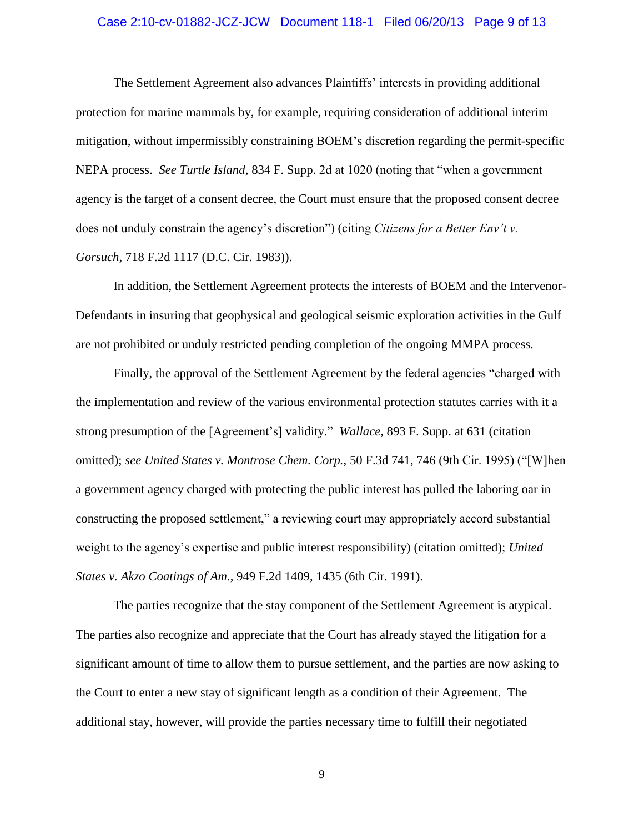#### Case 2:10-cv-01882-JCZ-JCW Document 118-1 Filed 06/20/13 Page 9 of 13

The Settlement Agreement also advances Plaintiffs' interests in providing additional protection for marine mammals by, for example, requiring consideration of additional interim mitigation, without impermissibly constraining BOEM's discretion regarding the permit-specific NEPA process. *See Turtle Island*, 834 F. Supp. 2d at 1020 (noting that "when a government agency is the target of a consent decree, the Court must ensure that the proposed consent decree does not unduly constrain the agency's discretion") (citing *Citizens for a Better Env't v. Gorsuch*, 718 F.2d 1117 (D.C. Cir. 1983)).

In addition, the Settlement Agreement protects the interests of BOEM and the Intervenor-Defendants in insuring that geophysical and geological seismic exploration activities in the Gulf are not prohibited or unduly restricted pending completion of the ongoing MMPA process.

Finally, the approval of the Settlement Agreement by the federal agencies "charged with the implementation and review of the various environmental protection statutes carries with it a strong presumption of the [Agreement's] validity." *Wallace*, 893 F. Supp. at 631 (citation omitted); *see United States v. Montrose Chem. Corp.*, 50 F.3d 741, 746 (9th Cir. 1995) ("[W]hen a government agency charged with protecting the public interest has pulled the laboring oar in constructing the proposed settlement," a reviewing court may appropriately accord substantial weight to the agency's expertise and public interest responsibility) (citation omitted); *United States v. Akzo Coatings of Am.*, 949 F.2d 1409, 1435 (6th Cir. 1991).

The parties recognize that the stay component of the Settlement Agreement is atypical. The parties also recognize and appreciate that the Court has already stayed the litigation for a significant amount of time to allow them to pursue settlement, and the parties are now asking to the Court to enter a new stay of significant length as a condition of their Agreement. The additional stay, however, will provide the parties necessary time to fulfill their negotiated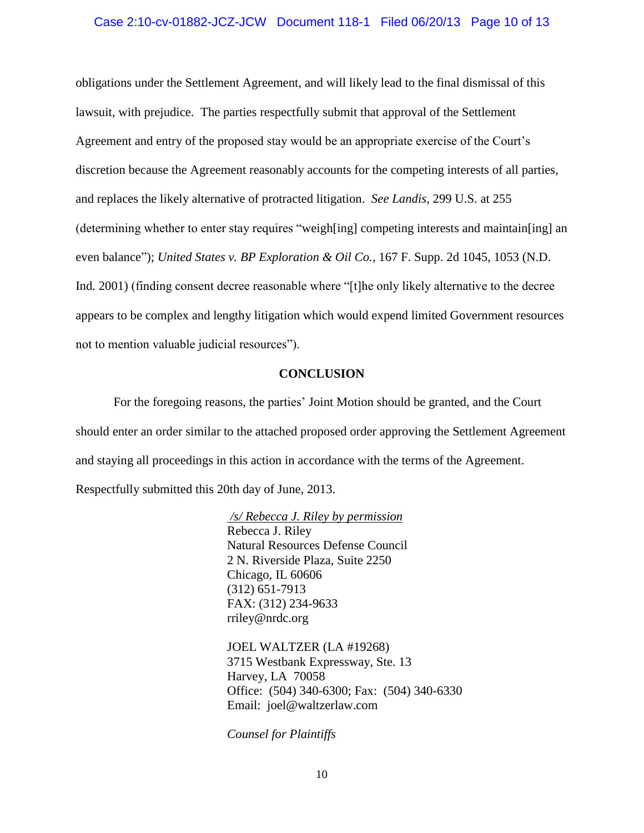#### Case 2:10-cv-01882-JCZ-JCW Document 118-1 Filed 06/20/13 Page 10 of 13

obligations under the Settlement Agreement, and will likely lead to the final dismissal of this lawsuit, with prejudice. The parties respectfully submit that approval of the Settlement Agreement and entry of the proposed stay would be an appropriate exercise of the Court's discretion because the Agreement reasonably accounts for the competing interests of all parties, and replaces the likely alternative of protracted litigation. *See Landis*, 299 U.S. at 255 (determining whether to enter stay requires "weigh[ing] competing interests and maintain[ing] an even balance"); *United States v. BP Exploration & Oil Co.*, 167 F. Supp. 2d 1045, 1053 (N.D. Ind. 2001) (finding consent decree reasonable where "[t]he only likely alternative to the decree appears to be complex and lengthy litigation which would expend limited Government resources not to mention valuable judicial resources").

## **CONCLUSION**

For the foregoing reasons, the parties' Joint Motion should be granted, and the Court should enter an order similar to the attached proposed order approving the Settlement Agreement and staying all proceedings in this action in accordance with the terms of the Agreement. Respectfully submitted this 20th day of June, 2013.

> */s/ Rebecca J. Riley by permission*  Rebecca J. Riley Natural Resources Defense Council 2 N. Riverside Plaza, Suite 2250 Chicago, IL 60606 (312) 651-7913 FAX: (312) 234-9633 rriley@nrdc.org

JOEL WALTZER (LA #19268) 3715 Westbank Expressway, Ste. 13 Harvey, LA 70058 Office: (504) 340-6300; Fax: (504) 340-6330 Email: joel@waltzerlaw.com

*Counsel for Plaintiffs*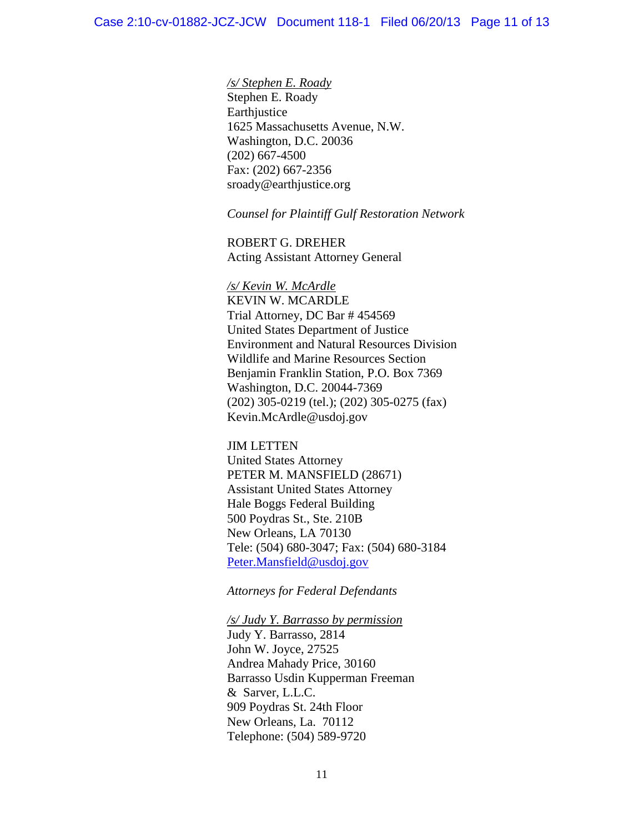*/s/ Stephen E. Roady* Stephen E. Roady Earthjustice 1625 Massachusetts Avenue, N.W. Washington, D.C. 20036 (202) 667-4500 Fax: (202) 667-2356 sroady@earthjustice.org

*Counsel for Plaintiff Gulf Restoration Network*

ROBERT G. DREHER Acting Assistant Attorney General

*/s/ Kevin W. McArdle* KEVIN W. MCARDLE Trial Attorney, DC Bar # 454569 United States Department of Justice Environment and Natural Resources Division Wildlife and Marine Resources Section Benjamin Franklin Station, P.O. Box 7369 Washington, D.C. 20044-7369 (202) 305-0219 (tel.); (202) 305-0275 (fax) Kevin.McArdle@usdoj.gov

JIM LETTEN United States Attorney PETER M. MANSFIELD (28671) Assistant United States Attorney Hale Boggs Federal Building 500 Poydras St., Ste. 210B New Orleans, LA 70130 Tele: (504) 680-3047; Fax: (504) 680-3184 [Peter.Mansfield@usdoj.gov](mailto:Peter.Mansfield@usdoj.gov)

## *Attorneys for Federal Defendants*

*/s/ Judy Y. Barrasso by permission* Judy Y. Barrasso, 2814 John W. Joyce, 27525 Andrea Mahady Price, 30160 Barrasso Usdin Kupperman Freeman & Sarver, L.L.C. 909 Poydras St. 24th Floor New Orleans, La. 70112 Telephone: (504) 589-9720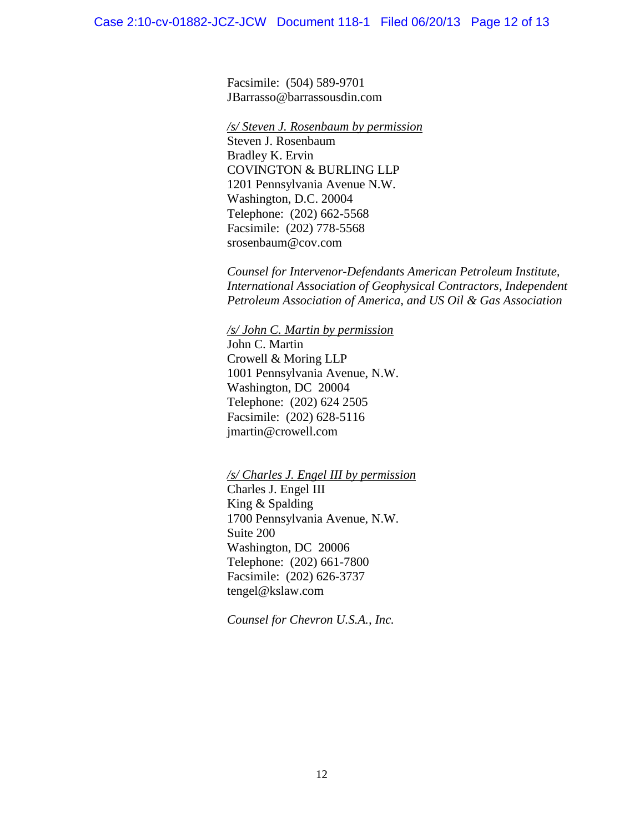Facsimile: (504) 589-9701 JBarrasso@barrassousdin.com

*/s/ Steven J. Rosenbaum by permission*

Steven J. Rosenbaum Bradley K. Ervin COVINGTON & BURLING LLP 1201 Pennsylvania Avenue N.W. Washington, D.C. 20004 Telephone: (202) 662-5568 Facsimile: (202) 778-5568 srosenbaum@cov.com

*Counsel for Intervenor-Defendants American Petroleum Institute, International Association of Geophysical Contractors, Independent Petroleum Association of America, and US Oil & Gas Association*

*/s/ John C. Martin by permission* John C. Martin Crowell & Moring LLP 1001 Pennsylvania Avenue, N.W. Washington, DC 20004 Telephone: (202) 624 2505 Facsimile: (202) 628-5116 jmartin@crowell.com

*/s/ Charles J. Engel III by permission*

Charles J. Engel III King & Spalding 1700 Pennsylvania Avenue, N.W. Suite 200 Washington, DC 20006 Telephone: (202) 661-7800 Facsimile: (202) 626-3737 tengel@kslaw.com

*Counsel for Chevron U.S.A., Inc.*